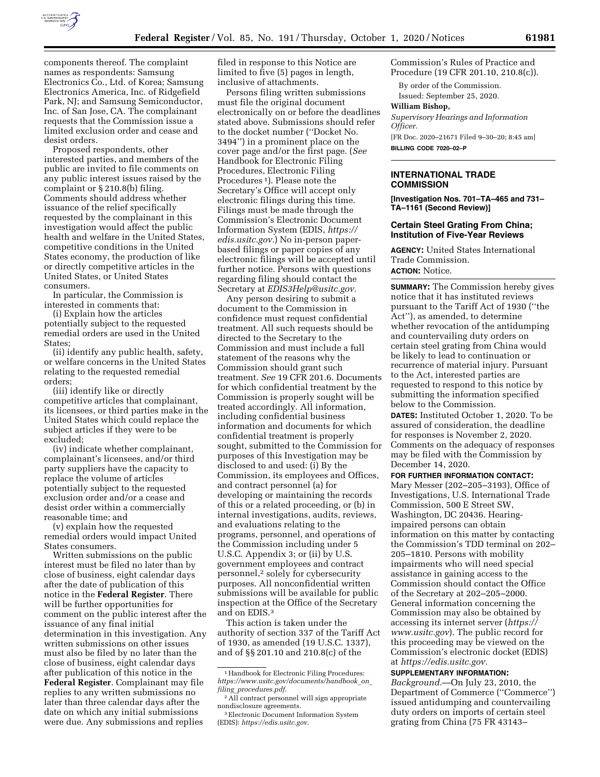

components thereof. The complaint names as respondents: Samsung Electronics Co., Ltd. of Korea; Samsung Electronics America, Inc. of Ridgefield Park, NJ; and Samsung Semiconductor, Inc. of San Jose, CA. The complainant requests that the Commission issue a limited exclusion order and cease and desist orders.

Proposed respondents, other interested parties, and members of the public are invited to file comments on any public interest issues raised by the complaint or § 210.8(b) filing. Comments should address whether issuance of the relief specifically requested by the complainant in this investigation would affect the public health and welfare in the United States, competitive conditions in the United States economy, the production of like or directly competitive articles in the United States, or United States consumers.

In particular, the Commission is interested in comments that:

(i) Explain how the articles potentially subject to the requested remedial orders are used in the United States;

(ii) identify any public health, safety, or welfare concerns in the United States relating to the requested remedial orders;

(iii) identify like or directly competitive articles that complainant, its licensees, or third parties make in the United States which could replace the subject articles if they were to be excluded;

(iv) indicate whether complainant, complainant's licensees, and/or third party suppliers have the capacity to replace the volume of articles potentially subject to the requested exclusion order and/or a cease and desist order within a commercially reasonable time; and

(v) explain how the requested remedial orders would impact United States consumers.

Written submissions on the public interest must be filed no later than by close of business, eight calendar days after the date of publication of this notice in the **Federal Register**. There will be further opportunities for comment on the public interest after the issuance of any final initial determination in this investigation. Any written submissions on other issues must also be filed by no later than the close of business, eight calendar days after publication of this notice in the **Federal Register**. Complainant may file replies to any written submissions no later than three calendar days after the date on which any initial submissions were due. Any submissions and replies

filed in response to this Notice are limited to five (5) pages in length, inclusive of attachments.

Persons filing written submissions must file the original document electronically on or before the deadlines stated above. Submissions should refer to the docket number (''Docket No. 3494'') in a prominent place on the cover page and/or the first page. (*See*  Handbook for Electronic Filing Procedures, Electronic Filing Procedures 1). Please note the Secretary's Office will accept only electronic filings during this time. Filings must be made through the Commission's Electronic Document Information System (EDIS, *[https://](https://edis.usitc.gov) [edis.usitc.gov.](https://edis.usitc.gov)*) No in-person paperbased filings or paper copies of any electronic filings will be accepted until further notice. Persons with questions regarding filing should contact the Secretary at *[EDIS3Help@usitc.gov.](mailto:EDIS3Help@usitc.gov)* 

Any person desiring to submit a document to the Commission in confidence must request confidential treatment. All such requests should be directed to the Secretary to the Commission and must include a full statement of the reasons why the Commission should grant such treatment. *See* 19 CFR 201.6. Documents for which confidential treatment by the Commission is properly sought will be treated accordingly. All information, including confidential business information and documents for which confidential treatment is properly sought, submitted to the Commission for purposes of this Investigation may be disclosed to and used: (i) By the Commission, its employees and Offices, and contract personnel (a) for developing or maintaining the records of this or a related proceeding, or (b) in internal investigations, audits, reviews, and evaluations relating to the programs, personnel, and operations of the Commission including under 5 U.S.C. Appendix 3; or (ii) by U.S. government employees and contract personnel,2 solely for cybersecurity purposes. All nonconfidential written submissions will be available for public inspection at the Office of the Secretary and on EDIS.3

This action is taken under the authority of section 337 of the Tariff Act of 1930, as amended (19 U.S.C. 1337), and of §§ 201.10 and 210.8(c) of the

Commission's Rules of Practice and Procedure (19 CFR 201.10, 210.8(c)).

By order of the Commission. Issued: September 25, 2020.

#### **William Bishop,**

*Supervisory Hearings and Information Officer.* 

[FR Doc. 2020–21671 Filed 9–30–20; 8:45 am] **BILLING CODE 7020–02–P** 

#### **INTERNATIONAL TRADE COMMISSION**

**[Investigation Nos. 701–TA–465 and 731– TA–1161 (Second Review)]** 

## **Certain Steel Grating From China; Institution of Five-Year Reviews**

**AGENCY:** United States International Trade Commission. **ACTION:** Notice.

**SUMMARY:** The Commission hereby gives notice that it has instituted reviews pursuant to the Tariff Act of 1930 (''the Act''), as amended, to determine whether revocation of the antidumping and countervailing duty orders on certain steel grating from China would be likely to lead to continuation or recurrence of material injury. Pursuant to the Act, interested parties are requested to respond to this notice by submitting the information specified below to the Commission.

**DATES:** Instituted October 1, 2020. To be assured of consideration, the deadline for responses is November 2, 2020. Comments on the adequacy of responses may be filed with the Commission by December 14, 2020.

**FOR FURTHER INFORMATION CONTACT:** 

Mary Messer (202–205–3193), Office of Investigations, U.S. International Trade Commission, 500 E Street SW, Washington, DC 20436. Hearingimpaired persons can obtain information on this matter by contacting the Commission's TDD terminal on 202– 205–1810. Persons with mobility impairments who will need special assistance in gaining access to the Commission should contact the Office of the Secretary at 202–205–2000. General information concerning the Commission may also be obtained by accessing its internet server (*[https://](https://www.usitc.gov) [www.usitc.gov](https://www.usitc.gov)*). The public record for this proceeding may be viewed on the Commission's electronic docket (EDIS) at *[https://edis.usitc.gov.](https://edis.usitc.gov)* 

### **SUPPLEMENTARY INFORMATION:**

*Background.*—On July 23, 2010, the Department of Commerce (''Commerce'') issued antidumping and countervailing duty orders on imports of certain steel grating from China (75 FR 43143–

<sup>&</sup>lt;sup>1</sup> Handbook for Electronic Filing Procedures: *[https://www.usitc.gov/documents/handbook](https://www.usitc.gov/documents/handbook_on_filing_procedures.pdf)*\_*on*\_ *filing*\_*[procedures.pdf](https://www.usitc.gov/documents/handbook_on_filing_procedures.pdf)*.

<sup>2</sup>All contract personnel will sign appropriate nondisclosure agreements.

<sup>3</sup>Electronic Document Information System (EDIS): *<https://edis.usitc.gov>*.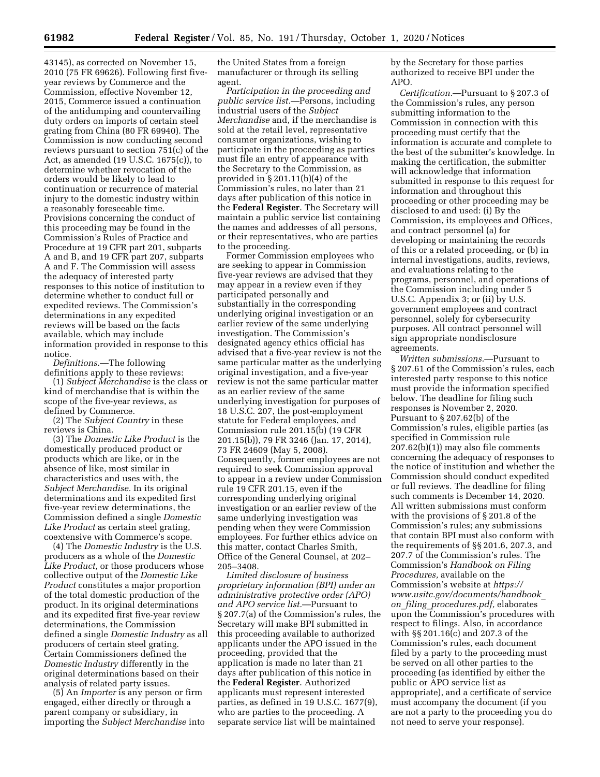43145), as corrected on November 15, 2010 (75 FR 69626). Following first fiveyear reviews by Commerce and the Commission, effective November 12, 2015, Commerce issued a continuation of the antidumping and countervailing duty orders on imports of certain steel grating from China (80 FR 69940). The Commission is now conducting second reviews pursuant to section 751(c) of the Act, as amended (19 U.S.C. 1675(c)), to determine whether revocation of the orders would be likely to lead to continuation or recurrence of material injury to the domestic industry within a reasonably foreseeable time. Provisions concerning the conduct of this proceeding may be found in the Commission's Rules of Practice and Procedure at 19 CFR part 201, subparts A and B, and 19 CFR part 207, subparts A and F. The Commission will assess the adequacy of interested party responses to this notice of institution to determine whether to conduct full or expedited reviews. The Commission's determinations in any expedited reviews will be based on the facts available, which may include information provided in response to this notice.

*Definitions.*—The following definitions apply to these reviews:

(1) *Subject Merchandise* is the class or kind of merchandise that is within the scope of the five-year reviews, as defined by Commerce.

(2) The *Subject Country* in these reviews is China.

(3) The *Domestic Like Product* is the domestically produced product or products which are like, or in the absence of like, most similar in characteristics and uses with, the *Subject Merchandise.* In its original determinations and its expedited first five-year review determinations, the Commission defined a single *Domestic Like Product* as certain steel grating, coextensive with Commerce's scope.

(4) The *Domestic Industry* is the U.S. producers as a whole of the *Domestic Like Product,* or those producers whose collective output of the *Domestic Like Product* constitutes a major proportion of the total domestic production of the product. In its original determinations and its expedited first five-year review determinations, the Commission defined a single *Domestic Industry* as all producers of certain steel grating. Certain Commissioners defined the *Domestic Industry* differently in the original determinations based on their analysis of related party issues.

(5) An *Importer* is any person or firm engaged, either directly or through a parent company or subsidiary, in importing the *Subject Merchandise* into

the United States from a foreign manufacturer or through its selling agent.

*Participation in the proceeding and public service list.*—Persons, including industrial users of the *Subject Merchandise* and, if the merchandise is sold at the retail level, representative consumer organizations, wishing to participate in the proceeding as parties must file an entry of appearance with the Secretary to the Commission, as provided in § 201.11(b)(4) of the Commission's rules, no later than 21 days after publication of this notice in the **Federal Register**. The Secretary will maintain a public service list containing the names and addresses of all persons, or their representatives, who are parties to the proceeding.

Former Commission employees who are seeking to appear in Commission five-year reviews are advised that they may appear in a review even if they participated personally and substantially in the corresponding underlying original investigation or an earlier review of the same underlying investigation. The Commission's designated agency ethics official has advised that a five-year review is not the same particular matter as the underlying original investigation, and a five-year review is not the same particular matter as an earlier review of the same underlying investigation for purposes of 18 U.S.C. 207, the post-employment statute for Federal employees, and Commission rule 201.15(b) (19 CFR 201.15(b)), 79 FR 3246 (Jan. 17, 2014), 73 FR 24609 (May 5, 2008). Consequently, former employees are not required to seek Commission approval to appear in a review under Commission rule 19 CFR 201.15, even if the corresponding underlying original investigation or an earlier review of the same underlying investigation was pending when they were Commission employees. For further ethics advice on this matter, contact Charles Smith, Office of the General Counsel, at 202– 205–3408.

*Limited disclosure of business proprietary information (BPI) under an administrative protective order (APO) and APO service list.*—Pursuant to § 207.7(a) of the Commission's rules, the Secretary will make BPI submitted in this proceeding available to authorized applicants under the APO issued in the proceeding, provided that the application is made no later than 21 days after publication of this notice in the **Federal Register**. Authorized applicants must represent interested parties, as defined in 19 U.S.C. 1677(9), who are parties to the proceeding. A separate service list will be maintained

by the Secretary for those parties authorized to receive BPI under the APO.

*Certification.*—Pursuant to § 207.3 of the Commission's rules, any person submitting information to the Commission in connection with this proceeding must certify that the information is accurate and complete to the best of the submitter's knowledge. In making the certification, the submitter will acknowledge that information submitted in response to this request for information and throughout this proceeding or other proceeding may be disclosed to and used: (i) By the Commission, its employees and Offices, and contract personnel (a) for developing or maintaining the records of this or a related proceeding, or (b) in internal investigations, audits, reviews, and evaluations relating to the programs, personnel, and operations of the Commission including under 5 U.S.C. Appendix 3; or (ii) by U.S. government employees and contract personnel, solely for cybersecurity purposes. All contract personnel will sign appropriate nondisclosure agreements.

*Written submissions.*—Pursuant to § 207.61 of the Commission's rules, each interested party response to this notice must provide the information specified below. The deadline for filing such responses is November 2, 2020. Pursuant to § 207.62(b) of the Commission's rules, eligible parties (as specified in Commission rule 207.62(b)(1)) may also file comments concerning the adequacy of responses to the notice of institution and whether the Commission should conduct expedited or full reviews. The deadline for filing such comments is December 14, 2020. All written submissions must conform with the provisions of § 201.8 of the Commission's rules; any submissions that contain BPI must also conform with the requirements of §§ 201.6, 207.3, and 207.7 of the Commission's rules. The Commission's *Handbook on Filing Procedures,* available on the Commission's website at *[https://](https://www.usitc.gov/documents/handbook_on_filing_procedures.pdf) [www.usitc.gov/documents/handbook](https://www.usitc.gov/documents/handbook_on_filing_procedures.pdf)*\_ *on*\_*filing*\_*[procedures.pdf,](https://www.usitc.gov/documents/handbook_on_filing_procedures.pdf)* elaborates upon the Commission's procedures with respect to filings. Also, in accordance with §§ 201.16(c) and 207.3 of the Commission's rules, each document filed by a party to the proceeding must be served on all other parties to the proceeding (as identified by either the public or APO service list as appropriate), and a certificate of service must accompany the document (if you are not a party to the proceeding you do not need to serve your response).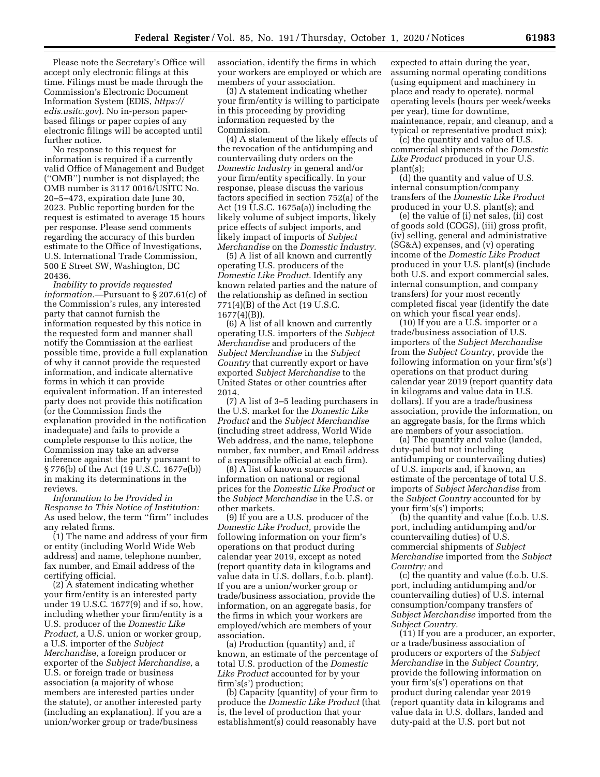Please note the Secretary's Office will accept only electronic filings at this time. Filings must be made through the Commission's Electronic Document Information System (EDIS, *[https://](https://edis.usitc.gov) [edis.usitc.gov](https://edis.usitc.gov)*). No in-person paperbased filings or paper copies of any electronic filings will be accepted until further notice.

No response to this request for information is required if a currently valid Office of Management and Budget (''OMB'') number is not displayed; the OMB number is 3117 0016/USITC No. 20–5–473, expiration date June 30, 2023. Public reporting burden for the request is estimated to average 15 hours per response. Please send comments regarding the accuracy of this burden estimate to the Office of Investigations, U.S. International Trade Commission, 500 E Street SW, Washington, DC 20436.

*Inability to provide requested information.*—Pursuant to § 207.61(c) of the Commission's rules, any interested party that cannot furnish the information requested by this notice in the requested form and manner shall notify the Commission at the earliest possible time, provide a full explanation of why it cannot provide the requested information, and indicate alternative forms in which it can provide equivalent information. If an interested party does not provide this notification (or the Commission finds the explanation provided in the notification inadequate) and fails to provide a complete response to this notice, the Commission may take an adverse inference against the party pursuant to § 776(b) of the Act (19 U.S.C. 1677e(b)) in making its determinations in the reviews.

*Information to be Provided in Response to This Notice of Institution:*  As used below, the term ''firm'' includes any related firms.

(1) The name and address of your firm or entity (including World Wide Web address) and name, telephone number, fax number, and Email address of the certifying official.

(2) A statement indicating whether your firm/entity is an interested party under 19 U.S.C. 1677(9) and if so, how, including whether your firm/entity is a U.S. producer of the *Domestic Like Product,* a U.S. union or worker group, a U.S. importer of the *Subject Merchandi*se, a foreign producer or exporter of the *Subject Merchandise,* a U.S. or foreign trade or business association (a majority of whose members are interested parties under the statute), or another interested party (including an explanation). If you are a union/worker group or trade/business

association, identify the firms in which your workers are employed or which are members of your association.

(3) A statement indicating whether your firm/entity is willing to participate in this proceeding by providing information requested by the Commission.

(4) A statement of the likely effects of the revocation of the antidumping and countervailing duty orders on the *Domestic Industry* in general and/or your firm/entity specifically. In your response, please discuss the various factors specified in section 752(a) of the Act (19 U.S.C. 1675a(a)) including the likely volume of subject imports, likely price effects of subject imports, and likely impact of imports of *Subject Merchandise* on the *Domestic Industry.* 

(5) A list of all known and currently operating U.S. producers of the *Domestic Like Product.* Identify any known related parties and the nature of the relationship as defined in section 771(4)(B) of the Act (19 U.S.C. 1677(4)(B)).

(6) A list of all known and currently operating U.S. importers of the *Subject Merchandise* and producers of the *Subject Merchandise* in the *Subject Country* that currently export or have exported *Subject Merchandise* to the United States or other countries after 2014.

(7) A list of 3–5 leading purchasers in the U.S. market for the *Domestic Like Product* and the *Subject Merchandise*  (including street address, World Wide Web address, and the name, telephone number, fax number, and Email address of a responsible official at each firm).

(8) A list of known sources of information on national or regional prices for the *Domestic Like Product* or the *Subject Merchandise* in the U.S. or other markets.

(9) If you are a U.S. producer of the *Domestic Like Product,* provide the following information on your firm's operations on that product during calendar year 2019, except as noted (report quantity data in kilograms and value data in U.S. dollars, f.o.b. plant). If you are a union/worker group or trade/business association, provide the information, on an aggregate basis, for the firms in which your workers are employed/which are members of your association.

(a) Production (quantity) and, if known, an estimate of the percentage of total U.S. production of the *Domestic Like Product* accounted for by your firm's(s') production;

(b) Capacity (quantity) of your firm to produce the *Domestic Like Product* (that is, the level of production that your establishment(s) could reasonably have

expected to attain during the year, assuming normal operating conditions (using equipment and machinery in place and ready to operate), normal operating levels (hours per week/weeks per year), time for downtime, maintenance, repair, and cleanup, and a typical or representative product mix);

(c) the quantity and value of U.S. commercial shipments of the *Domestic*  Like Product produced in your U.S. plant(s);

(d) the quantity and value of U.S. internal consumption/company transfers of the *Domestic Like Product*  produced in your U.S. plant(s); and

(e) the value of (i) net sales, (ii) cost of goods sold (COGS), (iii) gross profit, (iv) selling, general and administrative (SG&A) expenses, and (v) operating income of the *Domestic Like Product*  produced in your U.S. plant(s) (include both U.S. and export commercial sales, internal consumption, and company transfers) for your most recently completed fiscal year (identify the date on which your fiscal year ends).

(10) If you are a U.S. importer or a trade/business association of U.S. importers of the *Subject Merchandise*  from the *Subject Country,* provide the following information on your firm's(s') operations on that product during calendar year 2019 (report quantity data in kilograms and value data in U.S. dollars). If you are a trade/business association, provide the information, on an aggregate basis, for the firms which are members of your association.

(a) The quantity and value (landed, duty-paid but not including antidumping or countervailing duties) of U.S. imports and, if known, an estimate of the percentage of total U.S. imports of *Subject Merchandise* from the *Subject Country* accounted for by your firm's(s') imports;

(b) the quantity and value (f.o.b. U.S. port, including antidumping and/or countervailing duties) of U.S. commercial shipments of *Subject Merchandise* imported from the *Subject Country;* and

(c) the quantity and value (f.o.b. U.S. port, including antidumping and/or countervailing duties) of U.S. internal consumption/company transfers of *Subject Merchandise* imported from the *Subject Country.* 

(11) If you are a producer, an exporter, or a trade/business association of producers or exporters of the *Subject Merchandise* in the *Subject Country,*  provide the following information on your firm's(s') operations on that product during calendar year 2019 (report quantity data in kilograms and value data in U.S. dollars, landed and duty-paid at the U.S. port but not